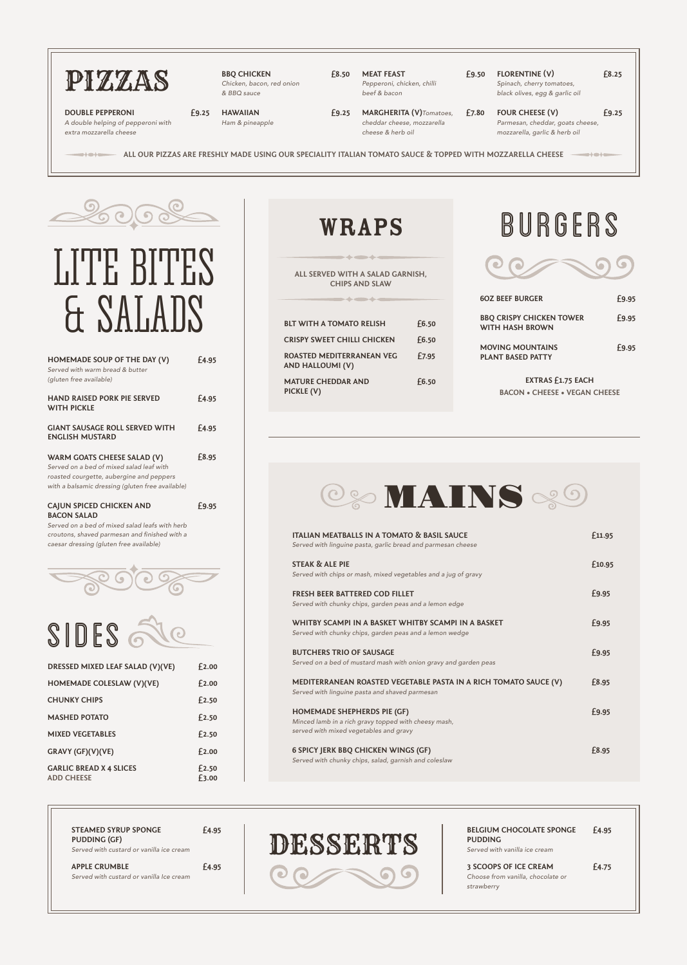| HOMEMADE SOUP OF THE DAY (V)<br>Served with warm bread & butter<br>(gluten free available)                                                                              | £4.95 |
|-------------------------------------------------------------------------------------------------------------------------------------------------------------------------|-------|
| <b>HAND RAISED PORK PIE SERVED</b><br><b>WITH PICKLE</b>                                                                                                                | £4.95 |
| <b>GIANT SAUSAGE ROLL SERVED WITH</b><br><b>ENGLISH MUSTARD</b>                                                                                                         | £4.95 |
| WARM GOATS CHEESE SALAD (V)<br>Served on a bed of mixed salad leaf with<br>roasted courgette, aubergine and peppers<br>with a balsamic dressing (gluten free available) | £8.95 |
| <b>CAJUN SPICED CHICKEN AND</b><br><b>BACON SALAD</b><br>Served on a bed of mixed salad leafs with herb                                                                 | £9.95 |

*Served on a bed of mixed salad leafs with herb*  croutons, shaved parmesan and finished with a *caesar dressing (gluten free available)*



| <b>60Z BEEF BURGER</b>                                    | £9.95 |
|-----------------------------------------------------------|-------|
| <b>BBQ CRISPY CHICKEN TOWER</b><br><b>WITH HASH BROWN</b> | £9.95 |
| <b>MOVING MOUNTAINS</b><br><b>PLANT BASED PATTY</b>       | £9.95 |
|                                                           |       |

**ALL SERVED WITH A SALAD GARNISH, CHIPS AND SLAW**

> **EXTRAS £1.75 EACH BACON • CHEESE • VEGAN CHEESE**

| <b>BLT WITH A TOMATO RELISH</b>                      | £6.50 |
|------------------------------------------------------|-------|
| <b>CRISPY SWEET CHILLI CHICKEN</b>                   | £6.50 |
| ROASTED MEDITERRANEAN VEG<br><b>AND HALLOUMI (V)</b> | £7.95 |
| <b>MATURE CHEDDAR AND</b><br>PICKLE (V)              | £6.50 |

## WRAPS BURGERS







| <b>MAJHED FUIAIU</b>                                | T 4. JU        |
|-----------------------------------------------------|----------------|
| <b>MIXED VEGETABLES</b>                             | £2.50          |
| GRAVY (GF)(V)(VE)                                   | f2.00          |
| <b>GARLIC BREAD X 4 SLICES</b><br><b>ADD CHEESE</b> | £2.50<br>£3.00 |



| <b>ITALIAN MEATBALLS IN A TOMATO &amp; BASIL SAUCE</b><br>Served with linguine pasta, garlic bread and parmesan cheese | £11.95       |
|------------------------------------------------------------------------------------------------------------------------|--------------|
| <b>STEAK &amp; ALE PIE</b><br>Served with chips or mash, mixed vegetables and a jug of gravy                           | £10.95       |
| <b>FRESH BEER BATTERED COD FILLET</b><br>Served with chunky chips, garden peas and a lemon edge                        | £9.95        |
| WHITBY SCAMPLIN A BASKET WHITBY SCAMPLIN A BASKET<br>Served with chunky chips, garden peas and a lemon wedge           | <b>£9.95</b> |
| <b>BUTCHERS TRIO OF SAUSAGE</b><br>Served on a bed of mustard mash with onion gravy and garden peas                    | <b>£9.95</b> |
| MEDITERRANEAN ROASTED VEGETABLE PASTA IN A RICH TOMATO SAUCE (V)<br>Served with linguine pasta and shaved parmesan     | £8.95        |
| <b>HOMEMADE SHEPHERDS PIE (GF)</b>                                                                                     | £9.95        |

*Minced lamb in a rich gravy topped with cheesy mash, served with mixed vegetables and gravy*

**6 SPICY JERK BBQ CHICKEN WINGS (GF)** *Served with chunky chips, salad, garnish and coleslaw* **£8.95**



**ALL OUR PIZZAS ARE FRESHLY MADE USING OUR SPECIALITY ITALIAN TOMATO SAUCE & TOPPED WITH MOZZARELLA CHEESE**



*Chicken, bacon, red onion & BBQ sauce*

**£8.50 MEAT FEAST**  *Pepperoni, chicken, chilli* 

*beef & bacon*

**£9.50 FLORENTINE (V)**  *Spinach, cherry tomatoes, black olives, egg & garlic oil*

**£8.25**

**DOUBLE PEPPERONI**  *A double helping of pepperoni with extra mozzarella cheese*

 $\bullet$  is a function of  $\bullet$ 

**£9.25 HAWAIIAN**

*Ham & pineapple*

**£9.25 MARGHERITA (V)***Tomatoes, cheddar cheese, mozzarella* 

**£7.80 FOUR CHEESE (V)** 

*cheese & herb oil Parmesan, cheddar, goats cheese, mozzarella, garlic & herb oil*

**£9.25**

nt Cita